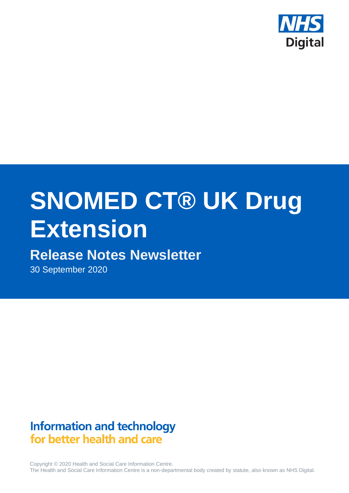

# **SNOMED CT® UK Drug Extension**

# **Release Notes Newsletter**

30 September 2020

## **Information and technology** for better health and care

Copyright © 2020 Health and Social Care Information Centre. The Health and Social Care Information Centre is a non-departmental body created by statute, also known as NHS Digital.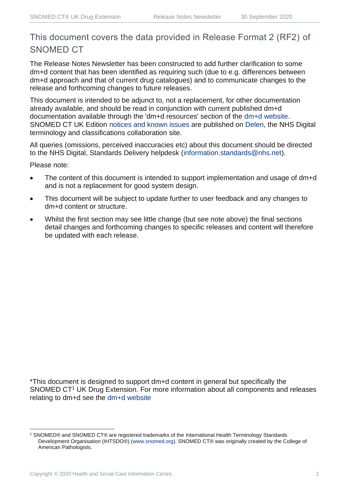### This document covers the data provided in Release Format 2 (RF2) of SNOMED CT

The Release Notes Newsletter has been constructed to add further clarification to some dm+d content that has been identified as requiring such (due to e.g. differences between dm+d approach and that of current drug catalogues) and to communicate changes to the release and forthcoming changes to future releases.

This document is intended to be adjunct to, not a replacement, for other documentation already available, and should be read in conjunction with current published dm+d documentation available through the 'dm+d resources' section of the [dm+d website.](https://www.nhsbsa.nhs.uk/pharmacies-gp-practices-and-appliance-contractors/dictionary-medicines-and-devices-dmd) SNOMED CT UK Edition [notices and known issues](https://hscic.kahootz.com/connect.ti/t_c_home/view?objectId=14224752) are published on [Delen,](https://hscic.kahootz.com/connect.ti/t_c_home) the NHS Digital terminology and classifications collaboration site.

All queries (omissions, perceived inaccuracies etc) about this document should be directed to the NHS Digital, Standards Delivery helpdesk [\(information.standards@nhs.net\)](mailto:information.standards@nhs.net).

Please note:

- The content of this document is intended to support implementation and usage of dm+d and is not a replacement for good system design.
- This document will be subject to update further to user feedback and any changes to dm+d content or structure.
- Whilst the first section may see little change (but see note above) the final sections detail changes and forthcoming changes to specific releases and content will therefore be updated with each release.

\*This document is designed to support dm+d content in general but specifically the SNOMED CT<sup>1</sup> UK Drug Extension. For more information about all components and releases relating to dm+d see the [dm+d website](https://www.nhsbsa.nhs.uk/pharmacies-gp-practices-and-appliance-contractors/dictionary-medicines-and-devices-dmd)

<sup>1</sup> SNOMED® and SNOMED CT® are registered trademarks of the International Health Terminology Standards Development Organisation (IHTSDO®) [\(www.snomed.org\)](http://www.snomed.org/). SNOMED CT® was originally created by the College of American Pathologists.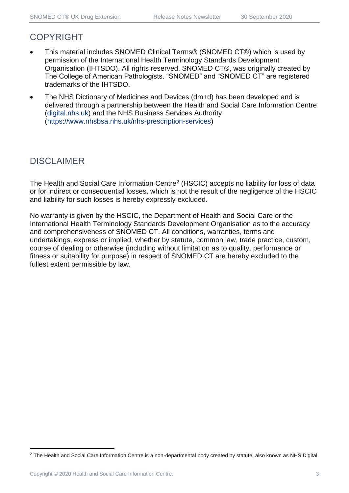#### COPYRIGHT

- This material includes SNOMED Clinical Terms® (SNOMED CT®) which is used by permission of the International Health Terminology Standards Development Organisation (IHTSDO). All rights reserved. SNOMED CT®, was originally created by The College of American Pathologists. "SNOMED" and "SNOMED CT" are registered trademarks of the IHTSDO.
- The NHS Dictionary of Medicines and Devices (dm+d) has been developed and is delivered through a partnership between the Health and Social Care Information Centre [\(digital.nhs.uk\)](https://digital.nhs.uk/) and the NHS Business Services Authority [\(https://www.nhsbsa.nhs.uk/nhs-prescription-services\)](https://www.nhsbsa.nhs.uk/nhs-prescription-services)

### DISCLAIMER

The Health and Social Care Information Centre<sup>2</sup> (HSCIC) accepts no liability for loss of data or for indirect or consequential losses, which is not the result of the negligence of the HSCIC and liability for such losses is hereby expressly excluded.

No warranty is given by the HSCIC, the Department of Health and Social Care or the International Health Terminology Standards Development Organisation as to the accuracy and comprehensiveness of SNOMED CT. All conditions, warranties, terms and undertakings, express or implied, whether by statute, common law, trade practice, custom, course of dealing or otherwise (including without limitation as to quality, performance or fitness or suitability for purpose) in respect of SNOMED CT are hereby excluded to the fullest extent permissible by law.

<sup>&</sup>lt;sup>2</sup> The Health and Social Care Information Centre is a non-departmental body created by statute, also known as NHS Digital.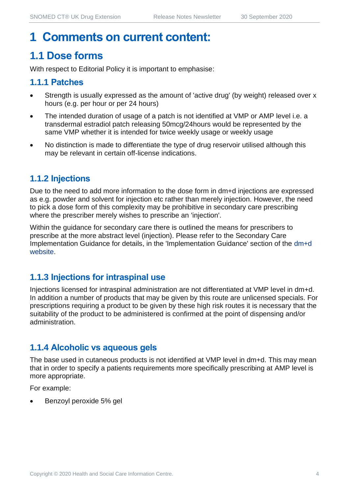## **1 Comments on current content:**

## **1.1 Dose forms**

With respect to Editorial Policy it is important to emphasise:

#### **1.1.1 Patches**

- Strength is usually expressed as the amount of 'active drug' (by weight) released over x hours (e.g. per hour or per 24 hours)
- The intended duration of usage of a patch is not identified at VMP or AMP level i.e. a transdermal estradiol patch releasing 50mcg/24hours would be represented by the same VMP whether it is intended for twice weekly usage or weekly usage
- No distinction is made to differentiate the type of drug reservoir utilised although this may be relevant in certain off-license indications.

#### **1.1.2 Injections**

Due to the need to add more information to the dose form in dm+d injections are expressed as e.g. powder and solvent for injection etc rather than merely injection. However, the need to pick a dose form of this complexity may be prohibitive in secondary care prescribing where the prescriber merely wishes to prescribe an 'injection'.

Within the guidance for secondary care there is outlined the means for prescribers to prescribe at the more abstract level (injection). Please refer to the Secondary Care Implementation Guidance for details, in the 'Implementation Guidance' section of the [dm+d](https://www.nhsbsa.nhs.uk/pharmacies-gp-practices-and-appliance-contractors/dictionary-medicines-and-devices-dmd)  [website.](https://www.nhsbsa.nhs.uk/pharmacies-gp-practices-and-appliance-contractors/dictionary-medicines-and-devices-dmd)

#### **1.1.3 Injections for intraspinal use**

Injections licensed for intraspinal administration are not differentiated at VMP level in dm+d. In addition a number of products that may be given by this route are unlicensed specials. For prescriptions requiring a product to be given by these high risk routes it is necessary that the suitability of the product to be administered is confirmed at the point of dispensing and/or administration.

#### **1.1.4 Alcoholic vs aqueous gels**

The base used in cutaneous products is not identified at VMP level in dm+d. This may mean that in order to specify a patients requirements more specifically prescribing at AMP level is more appropriate.

For example:

• Benzoyl peroxide 5% gel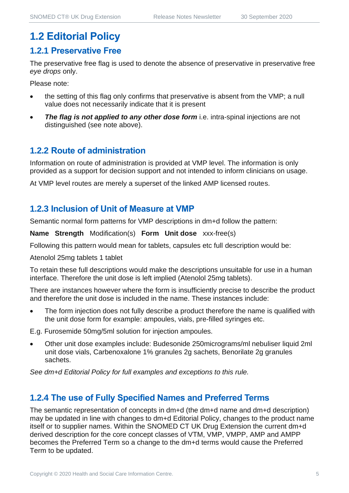## **1.2 Editorial Policy**

#### **1.2.1 Preservative Free**

The preservative free flag is used to denote the absence of preservative in preservative free *eye drops* only.

Please note:

- the setting of this flag only confirms that preservative is absent from the VMP; a null value does not necessarily indicate that it is present
- **The flag is not applied to any other dose form** i.e. intra-spinal injections are not distinguished (see note above).

#### **1.2.2 Route of administration**

Information on route of administration is provided at VMP level. The information is only provided as a support for decision support and not intended to inform clinicians on usage.

At VMP level routes are merely a superset of the linked AMP licensed routes.

#### **1.2.3 Inclusion of Unit of Measure at VMP**

Semantic normal form patterns for VMP descriptions in dm+d follow the pattern:

**Name Strength** Modification(s) **Form Unit dose** xxx-free(s)

Following this pattern would mean for tablets, capsules etc full description would be:

Atenolol 25mg tablets 1 tablet

To retain these full descriptions would make the descriptions unsuitable for use in a human interface. Therefore the unit dose is left implied (Atenolol 25mg tablets).

There are instances however where the form is insufficiently precise to describe the product and therefore the unit dose is included in the name. These instances include:

The form injection does not fully describe a product therefore the name is qualified with the unit dose form for example: ampoules, vials, pre-filled syringes etc.

E.g. Furosemide 50mg/5ml solution for injection ampoules.

• Other unit dose examples include: Budesonide 250micrograms/ml nebuliser liquid 2ml unit dose vials, Carbenoxalone 1% granules 2g sachets, Benorilate 2g granules sachets.

*See dm+d Editorial Policy for full examples and exceptions to this rule.*

#### **1.2.4 The use of Fully Specified Names and Preferred Terms**

The semantic representation of concepts in dm+d (the dm+d name and dm+d description) may be updated in line with changes to dm+d Editorial Policy, changes to the product name itself or to supplier names. Within the SNOMED CT UK Drug Extension the current dm+d derived description for the core concept classes of VTM, VMP, VMPP, AMP and AMPP becomes the Preferred Term so a change to the dm+d terms would cause the Preferred Term to be updated.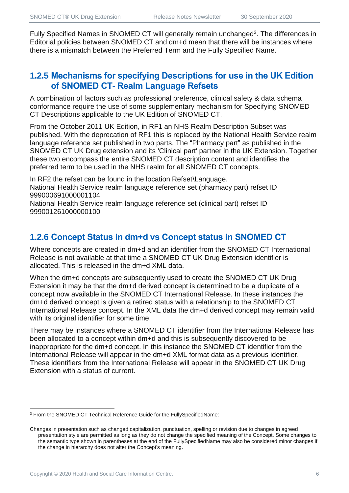Fully Specified Names in SNOMED CT will generally remain unchanged<sup>3</sup>. The differences in Editorial policies between SNOMED CT and dm+d mean that there will be instances where there is a mismatch between the Preferred Term and the Fully Specified Name.

#### **1.2.5 Mechanisms for specifying Descriptions for use in the UK Edition of SNOMED CT- Realm Language Refsets**

A combination of factors such as professional preference, clinical safety & data schema conformance require the use of some supplementary mechanism for Specifying SNOMED CT Descriptions applicable to the UK Edition of SNOMED CT.

From the October 2011 UK Edition, in RF1 an NHS Realm Description Subset was published. With the deprecation of RF1 this is replaced by the National Health Service realm language reference set published in two parts. The "Pharmacy part" as published in the SNOMED CT UK Drug extension and its 'Clinical part' partner in the UK Extension. Together these two encompass the entire SNOMED CT description content and identifies the preferred term to be used in the NHS realm for all SNOMED CT concepts.

In RF2 the refset can be found in the location Refset\Language. National Health Service realm language reference set (pharmacy part) refset ID 999000691000001104

National Health Service realm language reference set (clinical part) refset ID 999001261000000100

#### **1.2.6 Concept Status in dm+d vs Concept status in SNOMED CT**

Where concepts are created in dm+d and an identifier from the SNOMED CT International Release is not available at that time a SNOMED CT UK Drug Extension identifier is allocated. This is released in the dm+d XML data.

When the dm+d concepts are subsequently used to create the SNOMED CT UK Drug Extension it may be that the dm+d derived concept is determined to be a duplicate of a concept now available in the SNOMED CT International Release. In these instances the dm+d derived concept is given a retired status with a relationship to the SNOMED CT International Release concept. In the XML data the dm+d derived concept may remain valid with its original identifier for some time.

There may be instances where a SNOMED CT identifier from the International Release has been allocated to a concept within dm+d and this is subsequently discovered to be inappropriate for the dm+d concept. In this instance the SNOMED CT identifier from the International Release will appear in the dm+d XML format data as a previous identifier. These identifiers from the International Release will appear in the SNOMED CT UK Drug Extension with a status of current.

<sup>3</sup> From the SNOMED CT Technical Reference Guide for the FullySpecifiedName:

Changes in presentation such as changed capitalization, punctuation, spelling or revision due to changes in agreed presentation style are permitted as long as they do not change the specified meaning of the Concept. Some changes to the semantic type shown in parentheses at the end of the FullySpecifiedName may also be considered minor changes if the change in hierarchy does not alter the Concept's meaning.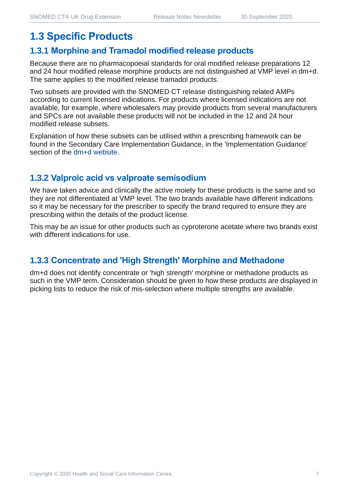## **1.3 Specific Products**

#### **1.3.1 Morphine and Tramadol modified release products**

Because there are no pharmacopoeial standards for oral modified release preparations 12 and 24 hour modified release morphine products are not distinguished at VMP level in dm+d. The same applies to the modified release tramadol products.

Two subsets are provided with the SNOMED CT release distinguishing related AMPs according to current licensed indications. For products where licensed indications are not available, for example, where wholesalers may provide products from several manufacturers and SPCs are not available these products will not be included in the 12 and 24 hour modified release subsets.

Explanation of how these subsets can be utilised within a prescribing framework can be found in the Secondary Care Implementation Guidance, in the 'Implementation Guidance' section of the [dm+d website.](https://www.nhsbsa.nhs.uk/pharmacies-gp-practices-and-appliance-contractors/dictionary-medicines-and-devices-dmd)

#### **1.3.2 Valproic acid vs valproate semisodium**

We have taken advice and clinically the active moiety for these products is the same and so they are not differentiated at VMP level. The two brands available have different indications so it may be necessary for the prescriber to specify the brand required to ensure they are prescribing within the details of the product license.

This may be an issue for other products such as cyproterone acetate where two brands exist with different indications for use.

#### **1.3.3 Concentrate and 'High Strength' Morphine and Methadone**

dm+d does not identify concentrate or 'high strength' morphine or methadone products as such in the VMP term. Consideration should be given to how these products are displayed in picking lists to reduce the risk of mis-selection where multiple strengths are available.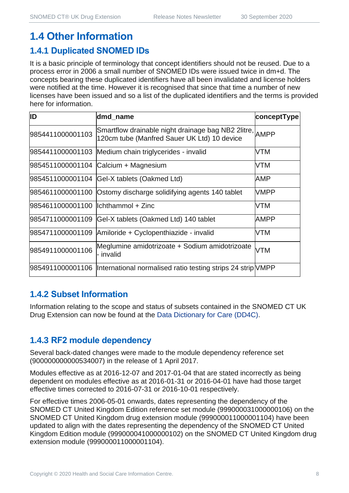## **1.4 Other Information**

#### **1.4.1 Duplicated SNOMED IDs**

It is a basic principle of terminology that concept identifiers should not be reused. Due to a process error in 2006 a small number of SNOMED IDs were issued twice in dm+d. The concepts bearing these duplicated identifiers have all been invalidated and license holders were notified at the time. However it is recognised that since that time a number of new licenses have been issued and so a list of the duplicated identifiers and the terms is provided here for information.

| ID                                   | dmd_name                                                                                               | conceptType |
|--------------------------------------|--------------------------------------------------------------------------------------------------------|-------------|
| 9854411000001103                     | Smartflow drainable night drainage bag NB2 2litre, AMPP<br>120cm tube (Manfred Sauer UK Ltd) 10 device |             |
|                                      | 9854411000001103 Medium chain triglycerides - invalid                                                  | VTM         |
|                                      | 9854511000001104 Calcium + Magnesium                                                                   | VTM         |
|                                      | 9854511000001104 Gel-X tablets (Oakmed Ltd)                                                            | AMP         |
|                                      | 9854611000001100 Ostomy discharge solidifying agents 140 tablet                                        | <b>VMPP</b> |
| 9854611000001100   Ichthammol + Zinc |                                                                                                        | VTM         |
|                                      | 9854711000001109 Gel-X tablets (Oakmed Ltd) 140 tablet                                                 | <b>AMPP</b> |
|                                      | 9854711000001109 Amiloride + Cyclopenthiazide - invalid                                                | VTM         |
| 9854911000001106                     | Meglumine amidotrizoate + Sodium amidotrizoate<br>- invalid                                            | <b>VTM</b>  |
|                                      | 9854911000001106  International normalised ratio testing strips 24 strip VMPP                          |             |

#### **1.4.2 Subset Information**

Information relating to the scope and status of subsets contained in the SNOMED CT UK Drug Extension can now be found at the [Data Dictionary for Care \(DD4C\).](https://dd4c.digital.nhs.uk/dd4c/)

#### **1.4.3 RF2 module dependency**

Several back-dated changes were made to the module dependency reference set (900000000000534007) in the release of 1 April 2017.

Modules effective as at 2016-12-07 and 2017-01-04 that are stated incorrectly as being dependent on modules effective as at 2016-01-31 or 2016-04-01 have had those target effective times corrected to 2016-07-31 or 2016-10-01 respectively.

For effective times 2006-05-01 onwards, dates representing the dependency of the SNOMED CT United Kingdom Edition reference set module (999000031000000106) on the SNOMED CT United Kingdom drug extension module (999000011000001104) have been updated to align with the dates representing the dependency of the SNOMED CT United Kingdom Edition module (999000041000000102) on the SNOMED CT United Kingdom drug extension module (999000011000001104).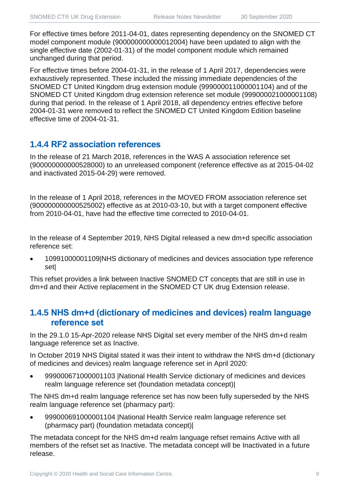For effective times before 2011-04-01, dates representing dependency on the SNOMED CT model component module (900000000000012004) have been updated to align with the single effective date (2002-01-31) of the model component module which remained unchanged during that period.

For effective times before 2004-01-31, in the release of 1 April 2017, dependencies were exhaustively represented. These included the missing immediate dependencies of the SNOMED CT United Kingdom drug extension module (999000011000001104) and of the SNOMED CT United Kingdom drug extension reference set module (999000021000001108) during that period. In the release of 1 April 2018, all dependency entries effective before 2004-01-31 were removed to reflect the SNOMED CT United Kingdom Edition baseline effective time of 2004-01-31.

#### **1.4.4 RF2 association references**

In the release of 21 March 2018, references in the WAS A association reference set (900000000000528000) to an unreleased component (reference effective as at 2015-04-02 and inactivated 2015-04-29) were removed.

In the release of 1 April 2018, references in the MOVED FROM association reference set (900000000000525002) effective as at 2010-03-10, but with a target component effective from 2010-04-01, have had the effective time corrected to 2010-04-01.

In the release of 4 September 2019, NHS Digital released a new dm+d specific association reference set:

• 10991000001109|NHS dictionary of medicines and devices association type reference set|

This refset provides a link between Inactive SNOMED CT concepts that are still in use in dm+d and their Active replacement in the SNOMED CT UK drug Extension release.

#### **1.4.5 NHS dm+d (dictionary of medicines and devices) realm language reference set**

In the 29.1.0 15-Apr-2020 release NHS Digital set every member of the NHS dm+d realm language reference set as Inactive.

In October 2019 NHS Digital stated it was their intent to withdraw the NHS dm+d (dictionary of medicines and devices) realm language reference set in April 2020:

• 999000671000001103 |National Health Service dictionary of medicines and devices realm language reference set (foundation metadata concept)|

The NHS dm+d realm language reference set has now been fully superseded by the NHS realm language reference set (pharmacy part):

• 999000691000001104 |National Health Service realm language reference set (pharmacy part) (foundation metadata concept)|

The metadata concept for the NHS dm+d realm language refset remains Active with all members of the refset set as Inactive. The metadata concept will be Inactivated in a future release.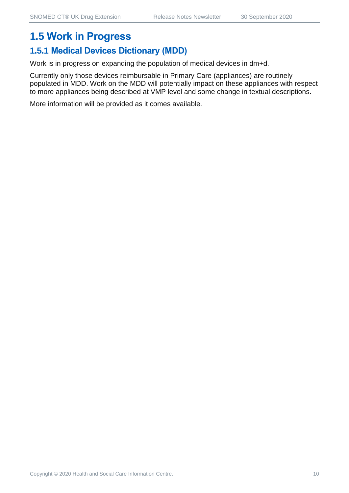## **1.5 Work in Progress**

#### **1.5.1 Medical Devices Dictionary (MDD)**

Work is in progress on expanding the population of medical devices in dm+d.

Currently only those devices reimbursable in Primary Care (appliances) are routinely populated in MDD. Work on the MDD will potentially impact on these appliances with respect to more appliances being described at VMP level and some change in textual descriptions.

More information will be provided as it comes available.